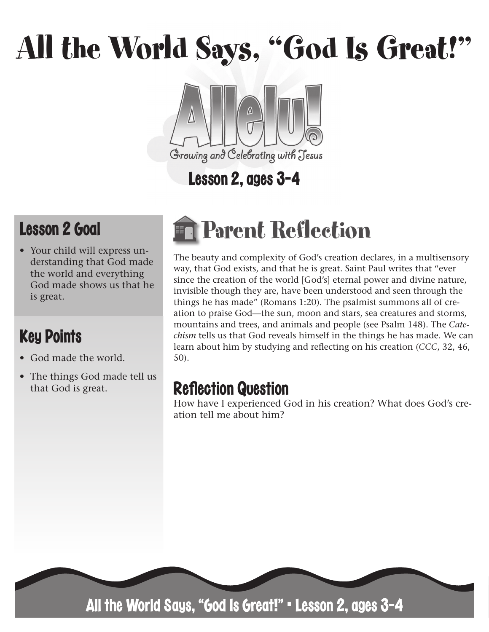# All the World Says, "God Is Great!"



## Lesson 2, ages 3-4

## Lesson 2 Goal

• Your child will express understanding that God made the world and everything God made shows us that he is great.

## Key Points

- God made the world.
- The things God made tell us that God is great.

## Parent Reflection

The beauty and complexity of God's creation declares, in a multisensory way, that God exists, and that he is great. Saint Paul writes that "ever since the creation of the world [God's] eternal power and divine nature, invisible though they are, have been understood and seen through the things he has made" (Romans 1:20). The psalmist summons all of creation to praise God—the sun, moon and stars, sea creatures and storms, mountains and trees, and animals and people (see Psalm 148). The *Catechism* tells us that God reveals himself in the things he has made. We can learn about him by studying and reflecting on his creation (*CCC*, 32, 46, 50).

## **Reflection Question**

How have I experienced God in his creation? What does God's creation tell me about him?



All the World Says, "God Is Great!" • Lesson 2, ages 3-4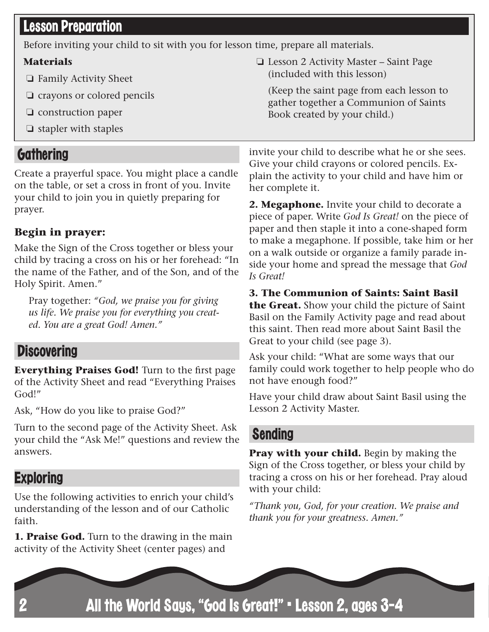#### Lesson Preparation

Before inviting your child to sit with you for lesson time, prepare all materials.

#### **Materials**

- ❏ Family Activity Sheet
- ❏ crayons or colored pencils
- ❏ construction paper
- ❏ stapler with staples

#### **Gathering**

Create a prayerful space. You might place a candle on the table, or set a cross in front of you. Invite your child to join you in quietly preparing for prayer.

#### **Begin in prayer:**

Make the Sign of the Cross together or bless your child by tracing a cross on his or her forehead: "In the name of the Father, and of the Son, and of the Holy Spirit. Amen."

Pray together: *"God, we praise you for giving us life. We praise you for everything you created. You are a great God! Amen."*

#### **Discovering**

**Everything Praises God!** Turn to the first page of the Activity Sheet and read "Everything Praises God!"

Ask, "How do you like to praise God?"

Turn to the second page of the Activity Sheet. Ask your child the "Ask Me!" questions and review the answers.

#### **Exploring**

Use the following activities to enrich your child's understanding of the lesson and of our Catholic faith.

**1. Praise God.** Turn to the drawing in the main activity of the Activity Sheet (center pages) and

❏ Lesson 2 Activity Master – Saint Page (included with this lesson)

(Keep the saint page from each lesson to gather together a Communion of Saints Book created by your child.)

invite your child to describe what he or she sees. Give your child crayons or colored pencils. Explain the activity to your child and have him or her complete it.

**2. Megaphone.** Invite your child to decorate a piece of paper. Write *God Is Great!* on the piece of paper and then staple it into a cone-shaped form to make a megaphone. If possible, take him or her on a walk outside or organize a family parade inside your home and spread the message that *God Is Great!* 

#### **3. The Communion of Saints: Saint Basil**

**the Great.** Show your child the picture of Saint Basil on the Family Activity page and read about this saint. Then read more about Saint Basil the Great to your child (see page 3).

Ask your child: "What are some ways that our family could work together to help people who do not have enough food?"

Have your child draw about Saint Basil using the Lesson 2 Activity Master.

#### Sending

**Pray with your child.** Begin by making the Sign of the Cross together, or bless your child by tracing a cross on his or her forehead. Pray aloud with your child:

*"Thank you, God, for your creation. We praise and thank you for your greatness. Amen."*

All the World Says, "God Is Great!" • Lesson 2, ages 3-4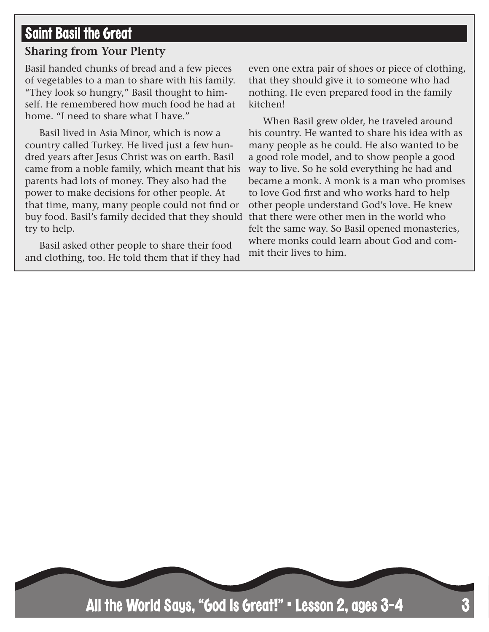#### Saint Basil the Great

#### **Sharing from Your Plenty**

Basil handed chunks of bread and a few pieces of vegetables to a man to share with his family. "They look so hungry," Basil thought to himself. He remembered how much food he had at home. "I need to share what I have."

Basil lived in Asia Minor, which is now a country called Turkey. He lived just a few hundred years after Jesus Christ was on earth. Basil came from a noble family, which meant that his parents had lots of money. They also had the power to make decisions for other people. At that time, many, many people could not find or buy food. Basil's family decided that they should that there were other men in the world who try to help.

Basil asked other people to share their food and clothing, too. He told them that if they had even one extra pair of shoes or piece of clothing, that they should give it to someone who had nothing. He even prepared food in the family kitchen!

When Basil grew older, he traveled around his country. He wanted to share his idea with as many people as he could. He also wanted to be a good role model, and to show people a good way to live. So he sold everything he had and became a monk. A monk is a man who promises to love God first and who works hard to help other people understand God's love. He knew felt the same way. So Basil opened monasteries, where monks could learn about God and commit their lives to him.